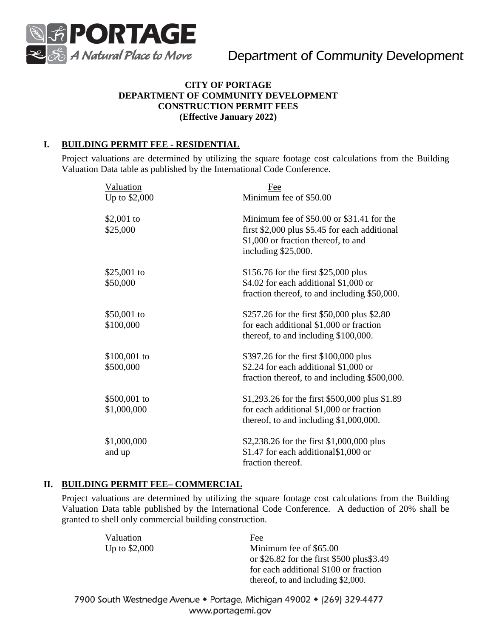

## **CITY OF PORTAGE DEPARTMENT OF COMMUNITY DEVELOPMENT CONSTRUCTION PERMIT FEES (Effective January 2022)**

## **I. BUILDING PERMIT FEE - RESIDENTIAL**

Project valuations are determined by utilizing the square footage cost calculations from the Building Valuation Data table as published by the International Code Conference.

| Valuation<br>Up to \$2,000  | Fee<br>Minimum fee of \$50.00                                                                                                                              |
|-----------------------------|------------------------------------------------------------------------------------------------------------------------------------------------------------|
| \$2,001 to<br>\$25,000      | Minimum fee of \$50.00 or \$31.41 for the<br>first $$2,000$ plus $$5.45$ for each additional<br>\$1,000 or fraction thereof, to and<br>including \$25,000. |
| \$25,001 to<br>\$50,000     | \$156.76 for the first \$25,000 plus<br>\$4.02 for each additional \$1,000 or<br>fraction thereof, to and including \$50,000.                              |
| \$50,001 to<br>\$100,000    | \$257.26 for the first \$50,000 plus \$2.80<br>for each additional \$1,000 or fraction<br>thereof, to and including \$100,000.                             |
| $$100,001$ to<br>\$500,000  | \$397.26 for the first \$100,000 plus<br>\$2.24 for each additional \$1,000 or<br>fraction thereof, to and including \$500,000.                            |
| \$500,001 to<br>\$1,000,000 | \$1,293.26 for the first \$500,000 plus \$1.89<br>for each additional \$1,000 or fraction<br>thereof, to and including \$1,000,000.                        |
| \$1,000,000<br>and up       | \$2,238.26 for the first \$1,000,000 plus<br>\$1.47 for each additional\$1,000 or<br>fraction thereof.                                                     |

## **II. BUILDING PERMIT FEE– COMMERCIAL**

Project valuations are determined by utilizing the square footage cost calculations from the Building Valuation Data table published by the International Code Conference. A deduction of 20% shall be granted to shell only commercial building construction.

| Fee                                       |
|-------------------------------------------|
| Minimum fee of \$65.00                    |
| or \$26.82 for the first \$500 plus\$3.49 |
| for each additional \$100 or fraction     |
| thereof, to and including \$2,000.        |
|                                           |

7900 South Westnedge Avenue • Portage, Michigan 49002 • (269) 329-4477 www.portagemi.gov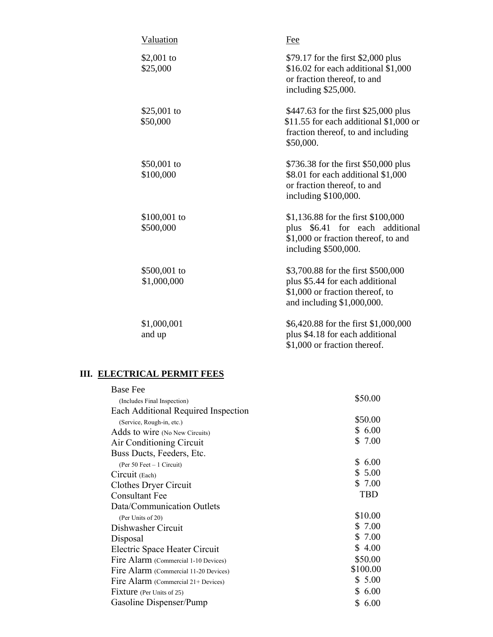| Valuation                   | Fee                                                                                                                                           |
|-----------------------------|-----------------------------------------------------------------------------------------------------------------------------------------------|
| \$2,001 to<br>\$25,000      | \$79.17 for the first \$2,000 plus<br>\$16.02 for each additional \$1,000<br>or fraction thereof, to and<br>including \$25,000.               |
| \$25,001 to<br>\$50,000     | \$447.63 for the first \$25,000 plus<br>\$11.55 for each additional $$1,000$ or<br>fraction thereof, to and including<br>\$50,000.            |
| \$50,001 to<br>\$100,000    | \$736.38 for the first \$50,000 plus<br>\$8.01 for each additional \$1,000<br>or fraction thereof, to and<br>including \$100,000.             |
| $$100,001$ to<br>\$500,000  | \$1,136.88 for the first \$100,000<br>\$6.41<br>for each<br>additional<br>plus<br>\$1,000 or fraction thereof, to and<br>including \$500,000. |
| \$500,001 to<br>\$1,000,000 | \$3,700.88 for the first \$500,000<br>plus \$5.44 for each additional<br>\$1,000 or fraction thereof, to<br>and including \$1,000,000.        |
| \$1,000,001<br>and up       | \$6,420.88 for the first \$1,000,000<br>plus \$4.18 for each additional<br>\$1,000 or fraction thereof.                                       |

#### **III. ELECTRICAL PERMIT FEES**

| <b>Base Fee</b>                       |            |
|---------------------------------------|------------|
| (Includes Final Inspection)           | \$50.00    |
| Each Additional Required Inspection   |            |
| (Service, Rough-in, etc.)             | \$50.00    |
| Adds to wire (No New Circuits)        | \$6.00     |
| Air Conditioning Circuit              | \$ 7.00    |
| Buss Ducts, Feeders, Etc.             |            |
| (Per 50 Feet $-1$ Circuit)            | \$6.00     |
| Circuit (Each)                        | \$5.00     |
| Clothes Dryer Circuit                 | \$ 7.00    |
| Consultant Fee                        | TBD        |
| Data/Communication Outlets            |            |
| (Per Units of 20)                     | \$10.00    |
| Dishwasher Circuit                    | \$7.00     |
| Disposal                              | \$7.00     |
| Electric Space Heater Circuit         | \$4.00     |
| Fire Alarm (Commercial 1-10 Devices)  | \$50.00    |
| Fire Alarm (Commercial 11-20 Devices) | \$100.00   |
| Fire Alarm (Commercial 21+ Devices)   | \$5.00     |
| Fixture (Per Units of 25)             | \$6.00     |
| Gasoline Dispenser/Pump               | \$<br>6.00 |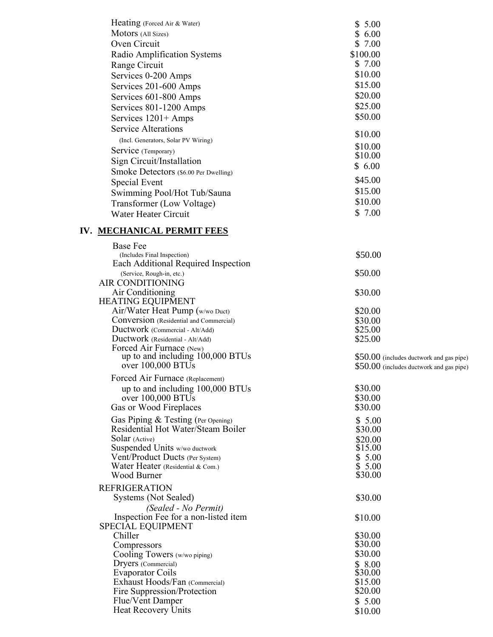| Heating (Forced Air & Water)                                        | \$5.00                                   |
|---------------------------------------------------------------------|------------------------------------------|
| Motors (All Sizes)                                                  | \$6.00                                   |
| Oven Circuit                                                        | \$7.00                                   |
| Radio Amplification Systems                                         | \$100.00                                 |
| Range Circuit                                                       | \$7.00                                   |
| Services 0-200 Amps                                                 | \$10.00                                  |
| Services 201-600 Amps                                               | \$15.00                                  |
| Services 601-800 Amps                                               | \$20.00                                  |
|                                                                     | \$25.00                                  |
| Services 801-1200 Amps                                              | \$50.00                                  |
| Services 1201+ Amps                                                 |                                          |
| <b>Service Alterations</b>                                          | \$10.00                                  |
| (Incl. Generators, Solar PV Wiring)                                 | \$10.00                                  |
| Service (Temporary)                                                 | \$10.00                                  |
| Sign Circuit/Installation                                           | \$6.00                                   |
| Smoke Detectors (\$6.00 Per Dwelling)                               |                                          |
| Special Event                                                       | \$45.00                                  |
| Swimming Pool/Hot Tub/Sauna                                         | \$15.00                                  |
| Transformer (Low Voltage)                                           | \$10.00                                  |
| <b>Water Heater Circuit</b>                                         | \$7.00                                   |
|                                                                     |                                          |
| IV. MECHANICAL PERMIT FEES                                          |                                          |
| <b>Base Fee</b>                                                     |                                          |
| (Includes Final Inspection)                                         | \$50.00                                  |
| Each Additional Required Inspection                                 |                                          |
| (Service, Rough-in, etc.)                                           | \$50.00                                  |
| AIR CONDITIONING                                                    |                                          |
| Air Conditioning                                                    | \$30.00                                  |
| <b>HEATING EQUIPMENT</b>                                            |                                          |
| Air/Water Heat Pump (w/wo Duct)                                     | \$20.00                                  |
| Conversion (Residential and Commercial)                             | \$30.00                                  |
| Ductwork (Commercial - Alt/Add)<br>Ductwork (Residential - Alt/Add) | \$25.00<br>\$25.00                       |
| Forced Air Furnace (New)                                            |                                          |
| up to and including 100,000 BTUs                                    | \$50.00 (includes ductwork and gas pipe) |
| over 100,000 BTUs                                                   | \$50.00 (includes ductwork and gas pipe) |
| Forced Air Furnace (Replacement)                                    |                                          |
| up to and including 100,000 BTUs                                    | \$30.00                                  |
| over 100,000 BTUs                                                   | \$30.00                                  |
| Gas or Wood Fireplaces                                              | \$30.00                                  |
| Gas Piping & Testing (Per Opening)                                  | \$5.00                                   |
| Residential Hot Water/Steam Boiler                                  | \$30.00                                  |
| Solar (Active)                                                      | \$20.00                                  |
| Suspended Units w/wo ductwork                                       | \$15.00                                  |
| Vent/Product Ducts (Per System)                                     | \$5.00                                   |
| Water Heater (Residential & Com.)                                   | \$5.00                                   |
| Wood Burner                                                         | \$30.00                                  |
| <b>REFRIGERATION</b>                                                |                                          |
| Systems (Not Sealed)                                                | \$30.00                                  |
| (Sealed - No Permit)                                                |                                          |
| Inspection Fee for a non-listed item                                | \$10.00                                  |
| <b>SPECIAL EQUIPMENT</b>                                            |                                          |
| Chiller                                                             | \$30.00                                  |
| Compressors                                                         | \$30.00                                  |
| Cooling Towers (w/wo piping)                                        | \$30.00                                  |
| Dryers (Commercial)                                                 | \$8.00                                   |
| <b>Evaporator Coils</b>                                             | \$30.00                                  |
| Exhaust Hoods/Fan (Commercial)                                      | \$15.00                                  |
| Fire Suppression/Protection                                         | \$20.00                                  |
| Flue/Vent Damper<br>Heat Recovery Units                             | \$5.00                                   |
|                                                                     | \$10.00                                  |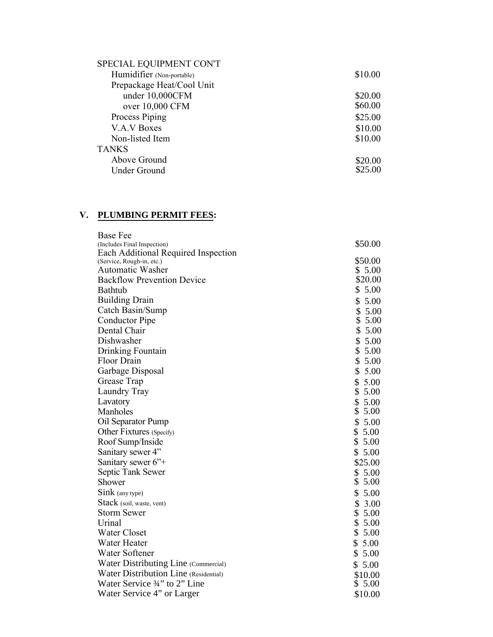| SPECIAL EQUIPMENT CON'T   |         |
|---------------------------|---------|
| Humidifier (Non-portable) | \$10.00 |
| Prepackage Heat/Cool Unit |         |
| under 10,000CFM           | \$20.00 |
| over 10,000 CFM           | \$60.00 |
| Process Piping            | \$25.00 |
| V.A.V Boxes               | \$10.00 |
| Non-listed Item           | \$10.00 |
| <b>TANKS</b>              |         |
| Above Ground              | \$20.00 |
| Under Ground              | \$25.00 |
|                           |         |

# V. PLUMBING PERMIT FEES:

| <b>Base Fee</b>                       |            |
|---------------------------------------|------------|
| (Includes Final Inspection)           | \$50.00    |
| Each Additional Required Inspection   |            |
| (Service, Rough-in, etc.)             | \$50.00    |
| Automatic Washer                      | \$5.00     |
| <b>Backflow Prevention Device</b>     | \$20.00    |
| <b>Bathtub</b>                        | \$5.00     |
| <b>Building Drain</b>                 | \$5.00     |
| Catch Basin/Sump                      | \$<br>5.00 |
| Conductor Pipe                        | \$<br>5.00 |
| Dental Chair                          | \$5.00     |
| Dishwasher                            | \$<br>5.00 |
| Drinking Fountain                     | \$<br>5.00 |
| Floor Drain                           | \$<br>5.00 |
| Garbage Disposal                      | \$<br>5.00 |
| Grease Trap                           | \$<br>5.00 |
| Laundry Tray                          | \$<br>5.00 |
| Lavatory                              | \$5.00     |
| Manholes                              | \$5.00     |
| Oil Separator Pump                    | \$5.00     |
| Other Fixtures (Specify)              | \$5.00     |
| Roof Sump/Inside                      | \$5.00     |
| Sanitary sewer 4"                     | \$5.00     |
| Sanitary sewer 6" <sup>+</sup>        | \$25.00    |
| Septic Tank Sewer                     | \$5.00     |
| Shower                                | \$5.00     |
| Sink (any type)                       | \$5.00     |
| Stack (soil, waste, vent)             | \$<br>3.00 |
| <b>Storm Sewer</b>                    | \$5.00     |
| Urinal                                | \$5.00     |
| <b>Water Closet</b>                   | \$5.00     |
| Water Heater                          | \$5.00     |
| Water Softener                        | \$5.00     |
| Water Distributing Line (Commercial)  | \$5.00     |
| Water Distribution Line (Residential) | \$10.00    |
| Water Service 3/4" to 2" Line         | \$5.00     |
| Water Service 4" or Larger            | \$10.00    |
|                                       |            |